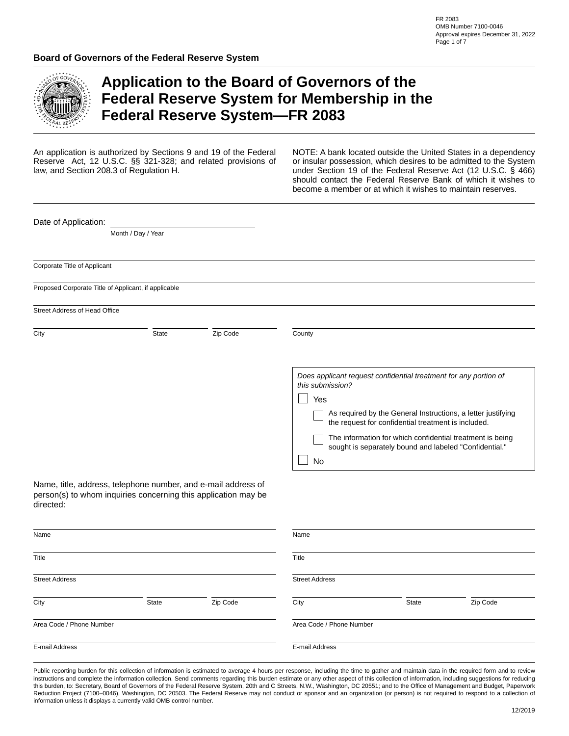

E-mail Address

# **Application to the Board of Governors of the Federal Reserve System for Membership in the Federal Reserve System—FR 2083**

An application is authorized by Sections 9 and 19 of the Federal Reserve Act, 12 U.S.C. §§ 321-328; and related provisions of law, and Section 208.3 of Regulation H.

NOTE: A bank located outside the United States in a dependency or insular possession, which desires to be admitted to the System under Section 19 of the Federal Reserve Act (12 U.S.C. § 466) should contact the Federal Reserve Bank of which it wishes to become a member or at which it wishes to maintain reserves.

| Date of Application:          |                                                                                                                                 |                                           |                               |                                                                                                                                                                                                                                                                                                                |                      |
|-------------------------------|---------------------------------------------------------------------------------------------------------------------------------|-------------------------------------------|-------------------------------|----------------------------------------------------------------------------------------------------------------------------------------------------------------------------------------------------------------------------------------------------------------------------------------------------------------|----------------------|
|                               | Month / Day / Year                                                                                                              |                                           |                               |                                                                                                                                                                                                                                                                                                                |                      |
| Corporate Title of Applicant  |                                                                                                                                 |                                           |                               |                                                                                                                                                                                                                                                                                                                |                      |
|                               | Proposed Corporate Title of Applicant, if applicable                                                                            |                                           |                               |                                                                                                                                                                                                                                                                                                                |                      |
| Street Address of Head Office |                                                                                                                                 |                                           |                               |                                                                                                                                                                                                                                                                                                                |                      |
| City                          | <b>State</b>                                                                                                                    | $\boxed{\blacktriangleright}$<br>Zip Code | County                        |                                                                                                                                                                                                                                                                                                                |                      |
| directed:                     | Name, title, address, telephone number, and e-mail address of<br>person(s) to whom inquiries concerning this application may be |                                           | this submission?<br>Yes<br>No | Does applicant request confidential treatment for any portion of<br>As required by the General Instructions, a letter justifying<br>the request for confidential treatment is included.<br>The information for which confidential treatment is being<br>sought is separately bound and labeled "Confidential." |                      |
| Name                          |                                                                                                                                 |                                           | Name                          |                                                                                                                                                                                                                                                                                                                |                      |
| Title                         |                                                                                                                                 |                                           | Title                         |                                                                                                                                                                                                                                                                                                                |                      |
| <b>Street Address</b>         |                                                                                                                                 | $\vert \blacktriangledown \vert$          | <b>Street Address</b>         |                                                                                                                                                                                                                                                                                                                | $\blacktriangledown$ |
| City                          | State                                                                                                                           | Zip Code                                  | City                          | State                                                                                                                                                                                                                                                                                                          | Zip Code             |
| Area Code / Phone Number      |                                                                                                                                 |                                           | Area Code / Phone Number      |                                                                                                                                                                                                                                                                                                                |                      |

Public reporting burden for this collection of information is estimated to average 4 hours per response, including the time to gather and maintain data in the required form and to review instructions and complete the information collection. Send comments regarding this burden estimate or any other aspect of this collection of information, including suggestions for reducing this burden, to: Secretary, Board of Governors of the Federal Reserve System, 20th and C Streets, N.W., Washington, DC 20551; and to the Office of Management and Budget, Paperwork Reduction Project (7100–0046), Washington, DC 20503. The Federal Reserve may not conduct or sponsor and an organization (or person) is not required to respond to a collection of information unless it displays a currently valid OMB control number.

E-mail Address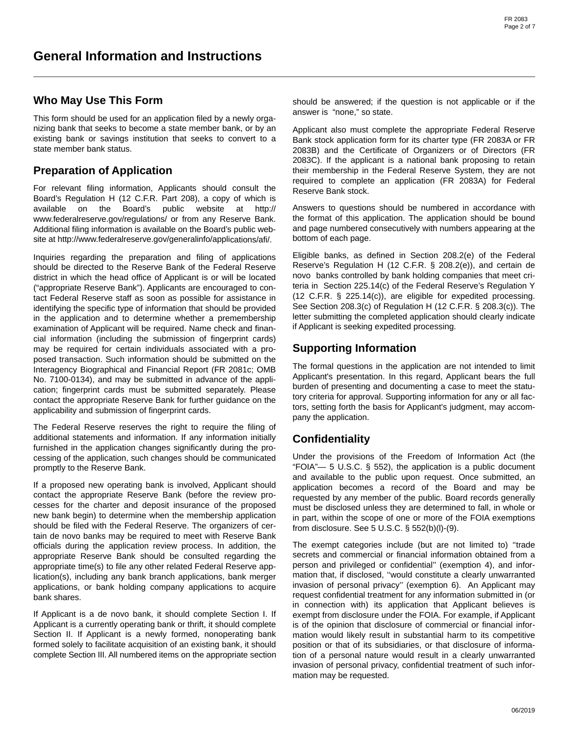## **Who May Use This Form**

This form should be used for an application filed by a newly organizing bank that seeks to become a state member bank, or by an existing bank or savings institution that seeks to convert to a state member bank status.

# **Preparation of Application**

For relevant filing information, Applicants should consult the Board's Regulation H (12 C.F.R. Part 208), a copy of which is available on the Board's public website at http:// www.federalreserve.gov/regulations/ or from any Reserve Bank. Additional filing information is available on the Board's public website at http://www.federalreserve.gov/generalinfo/applications/afi/.

Inquiries regarding the preparation and filing of applications should be directed to the Reserve Bank of the Federal Reserve district in which the head office of Applicant is or will be located ("appropriate Reserve Bank"). Applicants are encouraged to contact Federal Reserve staff as soon as possible for assistance in identifying the specific type of information that should be provided in the application and to determine whether a premembership examination of Applicant will be required. Name check and financial information (including the submission of fingerprint cards) may be required for certain individuals associated with a proposed transaction. Such information should be submitted on the Interagency Biographical and Financial Report (FR 2081c; OMB No. 7100-0134), and may be submitted in advance of the application; fingerprint cards must be submitted separately. Please contact the appropriate Reserve Bank for further guidance on the applicability and submission of fingerprint cards.

The Federal Reserve reserves the right to require the filing of additional statements and information. If any information initially furnished in the application changes significantly during the processing of the application, such changes should be communicated promptly to the Reserve Bank.

If a proposed new operating bank is involved, Applicant should contact the appropriate Reserve Bank (before the review processes for the charter and deposit insurance of the proposed new bank begin) to determine when the membership application should be filed with the Federal Reserve. The organizers of certain de novo banks may be required to meet with Reserve Bank officials during the application review process. In addition, the appropriate Reserve Bank should be consulted regarding the appropriate time(s) to file any other related Federal Reserve application(s), including any bank branch applications, bank merger applications, or bank holding company applications to acquire bank shares.

If Applicant is a de novo bank, it should complete Section I. If Applicant is a currently operating bank or thrift, it should complete Section II. If Applicant is a newly formed, nonoperating bank formed solely to facilitate acquisition of an existing bank, it should complete Section III. All numbered items on the appropriate section

should be answered; if the question is not applicable or if the answer is "none," so state.

Applicant also must complete the appropriate Federal Reserve Bank stock application form for its charter type (FR 2083A or FR 2083B) and the Certificate of Organizers or of Directors (FR 2083C). If the applicant is a national bank proposing to retain their membership in the Federal Reserve System, they are not required to complete an application (FR 2083A) for Federal Reserve Bank stock.

Answers to questions should be numbered in accordance with the format of this application. The application should be bound and page numbered consecutively with numbers appearing at the bottom of each page.

Eligible banks, as defined in Section 208.2(e) of the Federal Reserve's Regulation H (12 C.F.R. § 208.2(e)), and certain de novo banks controlled by bank holding companies that meet criteria in Section 225.14(c) of the Federal Reserve's Regulation Y (12 C.F.R. § 225.14(c)), are eligible for expedited processing. See Section 208.3(c) of Regulation H (12 C.F.R. § 208.3(c)). The letter submitting the completed application should clearly indicate if Applicant is seeking expedited processing.

# **Supporting Information**

The formal questions in the application are not intended to limit Applicant's presentation. In this regard, Applicant bears the full burden of presenting and documenting a case to meet the statutory criteria for approval. Supporting information for any or all factors, setting forth the basis for Applicant's judgment, may accompany the application.

# **Confidentiality**

Under the provisions of the Freedom of Information Act (the "FOIA"— 5 U.S.C. § 552), the application is a public document and available to the public upon request. Once submitted, an application becomes a record of the Board and may be requested by any member of the public. Board records generally must be disclosed unless they are determined to fall, in whole or in part, within the scope of one or more of the FOIA exemptions from disclosure. See 5 U.S.C. § 552(b)(l)-(9).

The exempt categories include (but are not limited to) ''trade secrets and commercial or financial information obtained from a person and privileged or confidential'' (exemption 4), and information that, if disclosed, ''would constitute a clearly unwarranted invasion of personal privacy'' (exemption 6). An Applicant may request confidential treatment for any information submitted in (or in connection with) its application that Applicant believes is exempt from disclosure under the FOIA. For example, if Applicant is of the opinion that disclosure of commercial or financial information would likely result in substantial harm to its competitive position or that of its subsidiaries, or that disclosure of information of a personal nature would result in a clearly unwarranted invasion of personal privacy, confidential treatment of such information may be requested.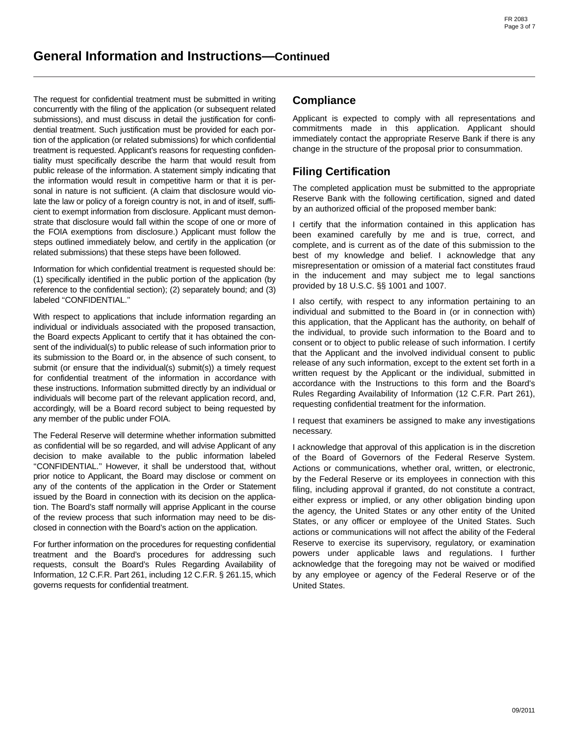The request for confidential treatment must be submitted in writing concurrently with the filing of the application (or subsequent related submissions), and must discuss in detail the justification for confidential treatment. Such justification must be provided for each portion of the application (or related submissions) for which confidential treatment is requested. Applicant's reasons for requesting confidentiality must specifically describe the harm that would result from public release of the information. A statement simply indicating that the information would result in competitive harm or that it is personal in nature is not sufficient. (A claim that disclosure would violate the law or policy of a foreign country is not, in and of itself, sufficient to exempt information from disclosure. Applicant must demonstrate that disclosure would fall within the scope of one or more of the FOIA exemptions from disclosure.) Applicant must follow the steps outlined immediately below, and certify in the application (or related submissions) that these steps have been followed.

Information for which confidential treatment is requested should be: (1) specifically identified in the public portion of the application (by reference to the confidential section); (2) separately bound; and (3) labeled ''CONFIDENTIAL.''

With respect to applications that include information regarding an individual or individuals associated with the proposed transaction, the Board expects Applicant to certify that it has obtained the consent of the individual(s) to public release of such information prior to its submission to the Board or, in the absence of such consent, to submit (or ensure that the individual(s) submit(s)) a timely request for confidential treatment of the information in accordance with these instructions. Information submitted directly by an individual or individuals will become part of the relevant application record, and, accordingly, will be a Board record subject to being requested by any member of the public under FOIA.

The Federal Reserve will determine whether information submitted as confidential will be so regarded, and will advise Applicant of any decision to make available to the public information labeled "CONFIDENTIAL." However, it shall be understood that, without prior notice to Applicant, the Board may disclose or comment on any of the contents of the application in the Order or Statement issued by the Board in connection with its decision on the application. The Board's staff normally will apprise Applicant in the course of the review process that such information may need to be disclosed in connection with the Board's action on the application.

For further information on the procedures for requesting confidential treatment and the Board's procedures for addressing such requests, consult the Board's Rules Regarding Availability of Information, 12 C.F.R. Part 261, including 12 C.F.R. § 261.15, which governs requests for confidential treatment.

## **Compliance**

Applicant is expected to comply with all representations and commitments made in this application. Applicant should immediately contact the appropriate Reserve Bank if there is any change in the structure of the proposal prior to consummation.

# **Filing Certification**

The completed application must be submitted to the appropriate Reserve Bank with the following certification, signed and dated by an authorized official of the proposed member bank:

I certify that the information contained in this application has been examined carefully by me and is true, correct, and complete, and is current as of the date of this submission to the best of my knowledge and belief. I acknowledge that any misrepresentation or omission of a material fact constitutes fraud in the inducement and may subject me to legal sanctions provided by 18 U.S.C. §§ 1001 and 1007.

I also certify, with respect to any information pertaining to an individual and submitted to the Board in (or in connection with) this application, that the Applicant has the authority, on behalf of the individual, to provide such information to the Board and to consent or to object to public release of such information. I certify that the Applicant and the involved individual consent to public release of any such information, except to the extent set forth in a written request by the Applicant or the individual, submitted in accordance with the Instructions to this form and the Board's Rules Regarding Availability of Information (12 C.F.R. Part 261), requesting confidential treatment for the information.

I request that examiners be assigned to make any investigations necessary.

I acknowledge that approval of this application is in the discretion of the Board of Governors of the Federal Reserve System. Actions or communications, whether oral, written, or electronic, by the Federal Reserve or its employees in connection with this filing, including approval if granted, do not constitute a contract, either express or implied, or any other obligation binding upon the agency, the United States or any other entity of the United States, or any officer or employee of the United States. Such actions or communications will not affect the ability of the Federal Reserve to exercise its supervisory, regulatory, or examination powers under applicable laws and regulations. I further acknowledge that the foregoing may not be waived or modified by any employee or agency of the Federal Reserve or of the United States.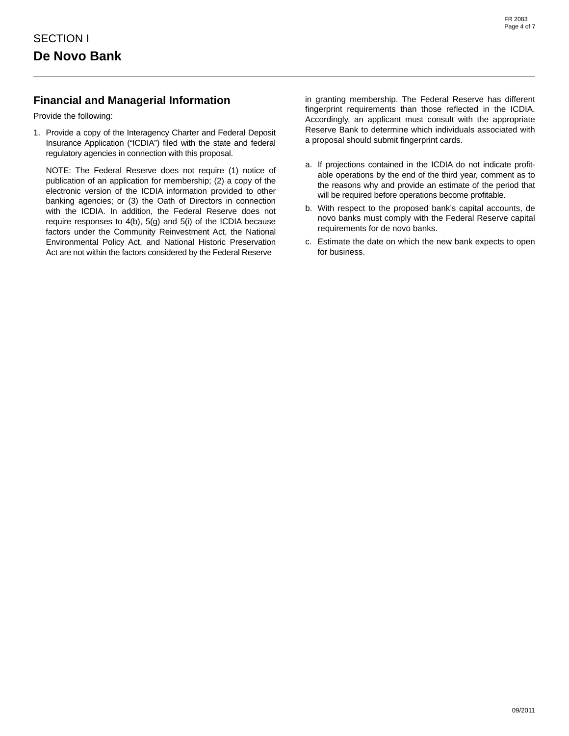# **Financial and Managerial Information**

Provide the following:

1. Provide a copy of the Interagency Charter and Federal Deposit Insurance Application ("ICDIA") filed with the state and federal regulatory agencies in connection with this proposal.

NOTE: The Federal Reserve does not require (1) notice of publication of an application for membership; (2) a copy of the electronic version of the ICDIA information provided to other banking agencies; or (3) the Oath of Directors in connection with the ICDIA. In addition, the Federal Reserve does not require responses to 4(b), 5(g) and 5(i) of the ICDIA because factors under the Community Reinvestment Act, the National Environmental Policy Act, and National Historic Preservation Act are not within the factors considered by the Federal Reserve

in granting membership. The Federal Reserve has different fingerprint requirements than those reflected in the ICDIA. Accordingly, an applicant must consult with the appropriate Reserve Bank to determine which individuals associated with a proposal should submit fingerprint cards.

- a. If projections contained in the ICDIA do not indicate profitable operations by the end of the third year, comment as to the reasons why and provide an estimate of the period that will be required before operations become profitable.
- b. With respect to the proposed bank's capital accounts, de novo banks must comply with the Federal Reserve capital requirements for de novo banks.
- c. Estimate the date on which the new bank expects to open for business.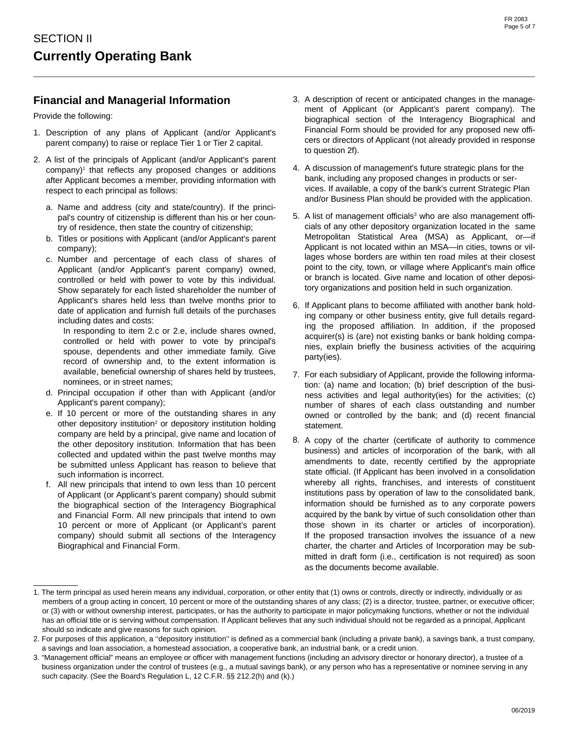## **Financial and Managerial Information**

Provide the following:

- 1. Description of any plans of Applicant (and/or Applicant's parent company) to raise or replace Tier 1 or Tier 2 capital.
- 2. A list of the principals of Applicant (and/or Applicant's parent company)<sup>1</sup> that reflects any proposed changes or additions after Applicant becomes a member, providing information with respect to each principal as follows:
	- a. Name and address (city and state/country). If the principal's country of citizenship is different than his or her country of residence, then state the country of citizenship;
	- b. Titles or positions with Applicant (and/or Applicant's parent company);
	- c. Number and percentage of each class of shares of Applicant (and/or Applicant's parent company) owned, controlled or held with power to vote by this individual. Show separately for each listed shareholder the number of Applicant's shares held less than twelve months prior to date of application and furnish full details of the purchases including dates and costs:

In responding to item 2.c or 2.e, include shares owned, controlled or held with power to vote by principal's spouse, dependents and other immediate family. Give record of ownership and, to the extent information is available, beneficial ownership of shares held by trustees, nominees, or in street names;

- d. Principal occupation if other than with Applicant (and/or Applicant's parent company);
- e. If 10 percent or more of the outstanding shares in any other depository institution<sup>2</sup> or depository institution holding company are held by a principal, give name and location of the other depository institution. Information that has been collected and updated within the past twelve months may be submitted unless Applicant has reason to believe that such information is incorrect.
- f. All new principals that intend to own less than 10 percent of Applicant (or Applicant's parent company) should submit the biographical section of the Interagency Biographical and Financial Form. All new principals that intend to own 10 percent or more of Applicant (or Applicant's parent company) should submit all sections of the Interagency Biographical and Financial Form.
- 3. A description of recent or anticipated changes in the management of Applicant (or Applicant's parent company). The biographical section of the Interagency Biographical and Financial Form should be provided for any proposed new officers or directors of Applicant (not already provided in response to question 2f).
- 4. A discussion of management's future strategic plans for the bank, including any proposed changes in products or services. If available, a copy of the bank's current Strategic Plan and/or Business Plan should be provided with the application.
- 5. A list of management officials<sup>3</sup> who are also management officials of any other depository organization located in the same Metropolitan Statistical Area (MSA) as Applicant, or—if Applicant is not located within an MSA—in cities, towns or villages whose borders are within ten road miles at their closest point to the city, town, or village where Applicant's main office or branch is located. Give name and location of other depository organizations and position held in such organization.
- 6. If Applicant plans to become affiliated with another bank holding company or other business entity, give full details regarding the proposed affiliation. In addition, if the proposed acquirer(s) is (are) not existing banks or bank holding companies, explain briefly the business activities of the acquiring party(ies).
- 7. For each subsidiary of Applicant, provide the following information: (a) name and location; (b) brief description of the business activities and legal authority(ies) for the activities; (c) number of shares of each class outstanding and number owned or controlled by the bank; and (d) recent financial statement.
- 8. A copy of the charter (certificate of authority to commence business) and articles of incorporation of the bank, with all amendments to date, recently certified by the appropriate state official. (If Applicant has been involved in a consolidation whereby all rights, franchises, and interests of constituent institutions pass by operation of law to the consolidated bank, information should be furnished as to any corporate powers acquired by the bank by virtue of such consolidation other than those shown in its charter or articles of incorporation). If the proposed transaction involves the issuance of a new charter, the charter and Articles of Incorporation may be submitted in draft form (i.e., certification is not required) as soon as the documents become available.

<sup>1.</sup> The term principal as used herein means any individual, corporation, or other entity that (1) owns or controls, directly or indirectly, individually or as members of a group acting in concert, 10 percent or more of the outstanding shares of any class; (2) is a director, trustee, partner, or executive officer; or (3) with or without ownership interest, participates, or has the authority to participate in major policymaking functions, whether or not the individual has an official title or is serving without compensation. If Applicant believes that any such individual should not be regarded as a principal, Applicant should so indicate and give reasons for such opinion.

<sup>2.</sup> For purposes of this application, a ''depository institution'' is defined as a commercial bank (including a private bank), a savings bank, a trust company, a savings and loan association, a homestead association, a cooperative bank, an industrial bank, or a credit union.

<sup>3. &</sup>quot;Management official" means an employee or officer with management functions (including an advisory director or honorary director), a trustee of a business organization under the control of trustees (e.g., a mutual savings bank), or any person who has a representative or nominee serving in any such capacity. (See the Board's Regulation L, 12 C.F.R. §§ 212.2(h) and (k).)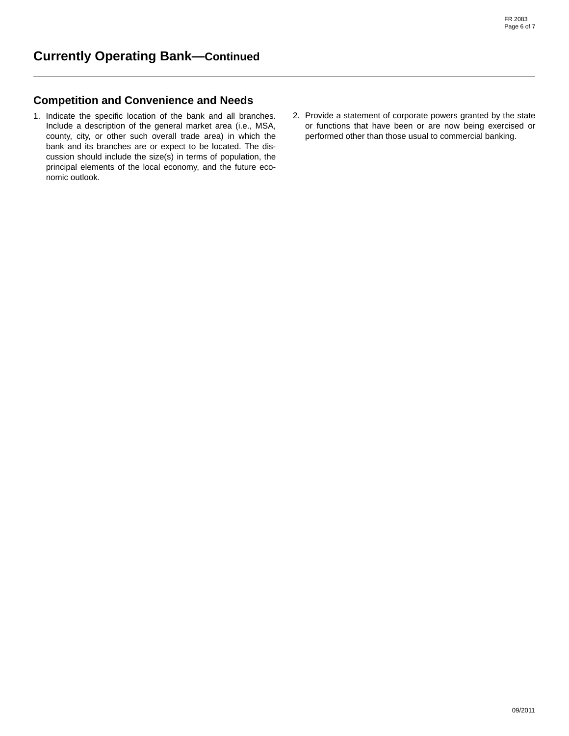### **Competition and Convenience and Needs**

- 1. Indicate the specific location of the bank and all branches. Include a description of the general market area (i.e., MSA, county, city, or other such overall trade area) in which the bank and its branches are or expect to be located. The discussion should include the size(s) in terms of population, the principal elements of the local economy, and the future economic outlook.
- 2. Provide a statement of corporate powers granted by the state or functions that have been or are now being exercised or performed other than those usual to commercial banking.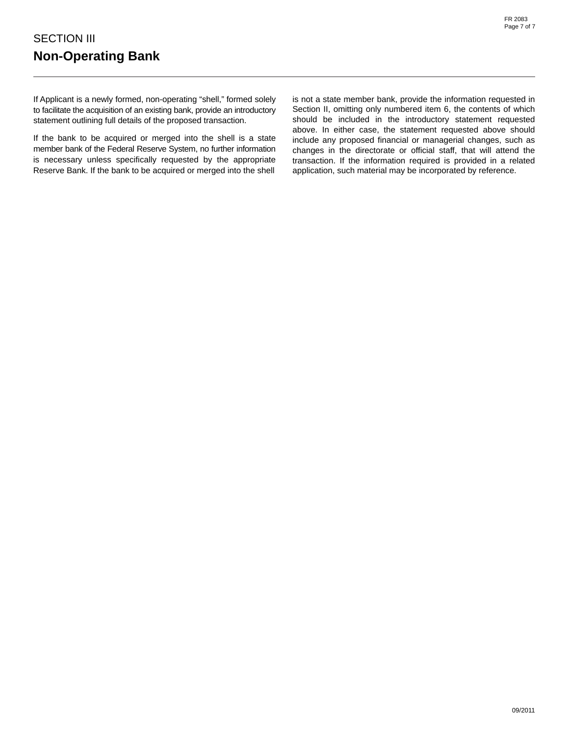If Applicant is a newly formed, non-operating "shell," formed solely to facilitate the acquisition of an existing bank, provide an introductory statement outlining full details of the proposed transaction.

If the bank to be acquired or merged into the shell is a state member bank of the Federal Reserve System, no further information is necessary unless specifically requested by the appropriate Reserve Bank. If the bank to be acquired or merged into the shell

is not a state member bank, provide the information requested in Section II, omitting only numbered item 6, the contents of which should be included in the introductory statement requested above. In either case, the statement requested above should include any proposed financial or managerial changes, such as changes in the directorate or official staff, that will attend the transaction. If the information required is provided in a related application, such material may be incorporated by reference.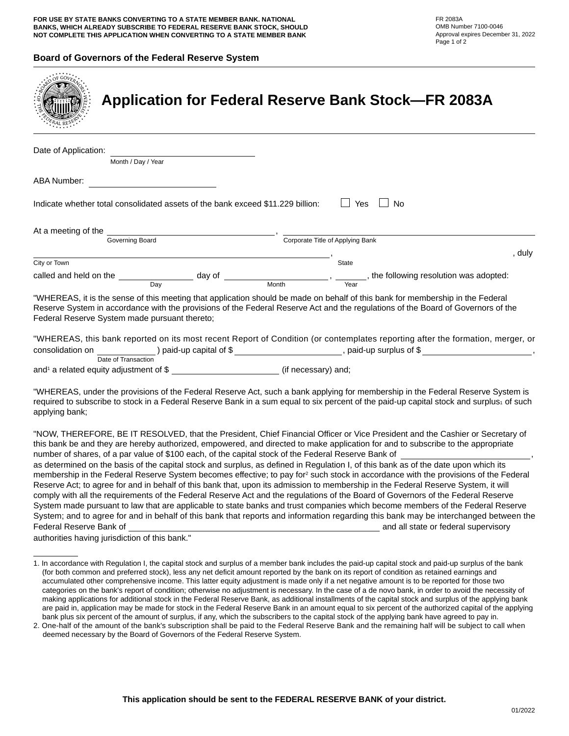#### **Board of Governors of the Federal Reserve System**

| <b>Application for Federal Reserve Bank Stock-FR 2083A</b>                                                                                                                                                                                                                                                                                                                                                                                                                                                                                                                                                                                                                                                                                                                                                                                                            |                                      |
|-----------------------------------------------------------------------------------------------------------------------------------------------------------------------------------------------------------------------------------------------------------------------------------------------------------------------------------------------------------------------------------------------------------------------------------------------------------------------------------------------------------------------------------------------------------------------------------------------------------------------------------------------------------------------------------------------------------------------------------------------------------------------------------------------------------------------------------------------------------------------|--------------------------------------|
| Date of Application:<br>Month / Day / Year                                                                                                                                                                                                                                                                                                                                                                                                                                                                                                                                                                                                                                                                                                                                                                                                                            |                                      |
| ABA Number:                                                                                                                                                                                                                                                                                                                                                                                                                                                                                                                                                                                                                                                                                                                                                                                                                                                           |                                      |
| $\Box$ Yes<br>Indicate whether total consolidated assets of the bank exceed \$11.229 billion:                                                                                                                                                                                                                                                                                                                                                                                                                                                                                                                                                                                                                                                                                                                                                                         | $\Box$ No                            |
| Corporate Title of Applying Bank<br>Governing Board                                                                                                                                                                                                                                                                                                                                                                                                                                                                                                                                                                                                                                                                                                                                                                                                                   |                                      |
|                                                                                                                                                                                                                                                                                                                                                                                                                                                                                                                                                                                                                                                                                                                                                                                                                                                                       | $\blacksquare$ , duly                |
| State<br>City or Town                                                                                                                                                                                                                                                                                                                                                                                                                                                                                                                                                                                                                                                                                                                                                                                                                                                 |                                      |
| called and held on the $\frac{1}{\text{Day}}$ day of $\frac{1}{\text{Month}}$ , $\frac{1}{\text{Year}}$ , the following resolution was adopted:                                                                                                                                                                                                                                                                                                                                                                                                                                                                                                                                                                                                                                                                                                                       |                                      |
| "WHEREAS, it is the sense of this meeting that application should be made on behalf of this bank for membership in the Federal<br>Reserve System in accordance with the provisions of the Federal Reserve Act and the regulations of the Board of Governors of the<br>Federal Reserve System made pursuant thereto;<br>"WHEREAS, this bank reported on its most recent Report of Condition (or contemplates reporting after the formation, merger, or<br>consolidation on ________________) paid-up capital of \$________________________, paid-up surplus of \$________________________________,                                                                                                                                                                                                                                                                     |                                      |
| Date of Transaction<br>and <sup>1</sup> a related equity adjustment of \$ ___________________________(if necessary) and;                                                                                                                                                                                                                                                                                                                                                                                                                                                                                                                                                                                                                                                                                                                                              |                                      |
| "WHEREAS, under the provisions of the Federal Reserve Act, such a bank applying for membership in the Federal Reserve System is<br>required to subscribe to stock in a Federal Reserve Bank in a sum equal to six percent of the paid-up capital stock and surplus1 of such<br>applying bank;                                                                                                                                                                                                                                                                                                                                                                                                                                                                                                                                                                         |                                      |
| "NOW, THEREFORE, BE IT RESOLVED, that the President, Chief Financial Officer or Vice President and the Cashier or Secretary of<br>this bank be and they are hereby authorized, empowered, and directed to make application for and to subscribe to the appropriate<br>number of shares, of a par value of \$100 each, of the capital stock of the Federal Reserve Bank of                                                                                                                                                                                                                                                                                                                                                                                                                                                                                             |                                      |
| as determined on the basis of the capital stock and surplus, as defined in Regulation I, of this bank as of the date upon which its<br>membership in the Federal Reserve System becomes effective; to pay for <sup>2</sup> such stock in accordance with the provisions of the Federal<br>Reserve Act; to agree for and in behalf of this bank that, upon its admission to membership in the Federal Reserve System, it will<br>comply with all the requirements of the Federal Reserve Act and the regulations of the Board of Governors of the Federal Reserve<br>System made pursuant to law that are applicable to state banks and trust companies which become members of the Federal Reserve<br>System; and to agree for and in behalf of this bank that reports and information regarding this bank may be interchanged between the<br>Federal Reserve Bank of | and all state or federal supervisory |
| authorities having jurisdiction of this bank."                                                                                                                                                                                                                                                                                                                                                                                                                                                                                                                                                                                                                                                                                                                                                                                                                        |                                      |
| 1. In accordance with Regulation I, the capital stock and surplus of a member bank includes the paid-up capital stock and paid-up surplus of the bank<br>(for both common and preferred stock), less any net deficit amount reported by the bank on its report of condition as retained earnings and<br>accumulated other comprehensive income. This latter equity adjustment is made only if a net negative amount is to be reported for those two<br>categories on the bank's report of condition; otherwise no adjustment is necessary. In the case of a de novo bank, in order to avoid the necessity of                                                                                                                                                                                                                                                          |                                      |

making applications for additional stock in the Federal Reserve Bank, as additional installments of the capital stock and surplus of the applying bank

are paid in, application may be made for stock in the Federal Reserve Bank in an amount equal to six percent of the authorized capital of the applying bank plus six percent of the amount of surplus, if any, which the subscribers to the capital stock of the applying bank have agreed to pay in. 2. One-half of the amount of the bank's subscription shall be paid to the Federal Reserve Bank and the remaining half will be subject to call when

deemed necessary by the Board of Governors of the Federal Reserve System.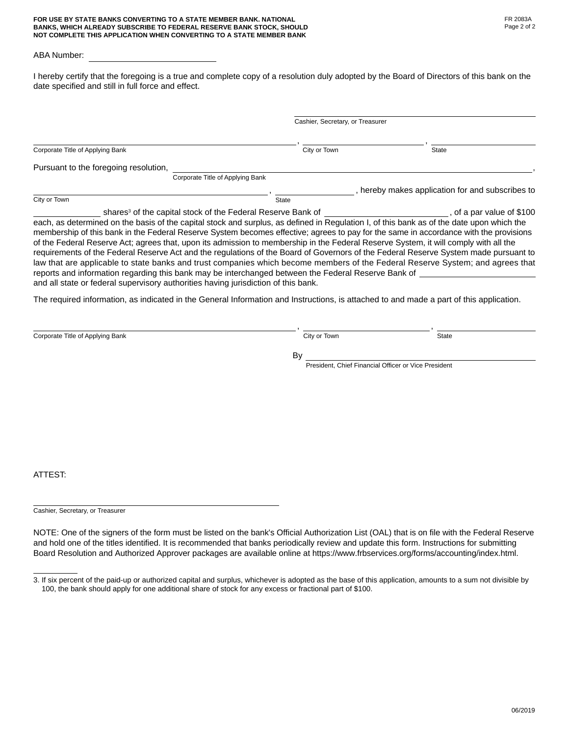#### **FOR USE BY STATE BANKS CONVERTING TO A STATE MEMBER BANK. NATIONAL BANKS, WHICH ALREADY SUBSCRIBE TO FEDERAL RESERVE BANK STOCK, SHOULD NOT COMPLETE THIS APPLICATION WHEN CONVERTING TO A STATE MEMBER BANK**

#### ABA Number:

I hereby certify that the foregoing is a true and complete copy of a resolution duly adopted by the Board of Directors of this bank on the date specified and still in full force and effect.

|                                                                                                                                                                                                                                                                                                                                                                                                                                                                                                                                                                                                                                                                                                                                                                                                                                                                                                                                                                              | Cashier, Secretary, or Treasurer |                                                  |
|------------------------------------------------------------------------------------------------------------------------------------------------------------------------------------------------------------------------------------------------------------------------------------------------------------------------------------------------------------------------------------------------------------------------------------------------------------------------------------------------------------------------------------------------------------------------------------------------------------------------------------------------------------------------------------------------------------------------------------------------------------------------------------------------------------------------------------------------------------------------------------------------------------------------------------------------------------------------------|----------------------------------|--------------------------------------------------|
| Corporate Title of Applying Bank                                                                                                                                                                                                                                                                                                                                                                                                                                                                                                                                                                                                                                                                                                                                                                                                                                                                                                                                             | City or Town                     | <b>State</b>                                     |
| Pursuant to the foregoing resolution,                                                                                                                                                                                                                                                                                                                                                                                                                                                                                                                                                                                                                                                                                                                                                                                                                                                                                                                                        |                                  |                                                  |
| Corporate Title of Applying Bank                                                                                                                                                                                                                                                                                                                                                                                                                                                                                                                                                                                                                                                                                                                                                                                                                                                                                                                                             |                                  |                                                  |
|                                                                                                                                                                                                                                                                                                                                                                                                                                                                                                                                                                                                                                                                                                                                                                                                                                                                                                                                                                              | $\blacksquare$                   | , hereby makes application for and subscribes to |
| City or Town                                                                                                                                                                                                                                                                                                                                                                                                                                                                                                                                                                                                                                                                                                                                                                                                                                                                                                                                                                 | State                            |                                                  |
| shares <sup>3</sup> of the capital stock of the Federal Reserve Bank of<br>each, as determined on the basis of the capital stock and surplus, as defined in Regulation I, of this bank as of the date upon which the<br>membership of this bank in the Federal Reserve System becomes effective; agrees to pay for the same in accordance with the provisions<br>of the Federal Reserve Act; agrees that, upon its admission to membership in the Federal Reserve System, it will comply with all the<br>requirements of the Federal Reserve Act and the regulations of the Board of Governors of the Federal Reserve System made pursuant to<br>law that are applicable to state banks and trust companies which become members of the Federal Reserve System; and agrees that<br>reports and information regarding this bank may be interchanged between the Federal Reserve Bank of<br>and all state or federal supervisory authorities having jurisdiction of this bank. |                                  | of a par value of \$100                          |

The required information, as indicated in the General Information and Instructions, is attached to and made a part of this application.

| Corporate Title of Applying Bank | City or Town | State |
|----------------------------------|--------------|-------|
|                                  |              |       |
|                                  | D.<br>ים     |       |

President, Chief Financial Officer or Vice President

ATTEST:

Cashier, Secretary, or Treasurer

NOTE: One of the signers of the form must be listed on the bank's Official Authorization List (OAL) that is on file with the Federal Reserve and hold one of the titles identified. It is recommended that banks periodically review and update this form. Instructions for submitting Board Resolution and Authorized Approver packages are available online at https://www.frbservices.org/forms/accounting/index.html.

<sup>3.</sup> If six percent of the paid-up or authorized capital and surplus, whichever is adopted as the base of this application, amounts to a sum not divisible by 100, the bank should apply for one additional share of stock for any excess or fractional part of \$100.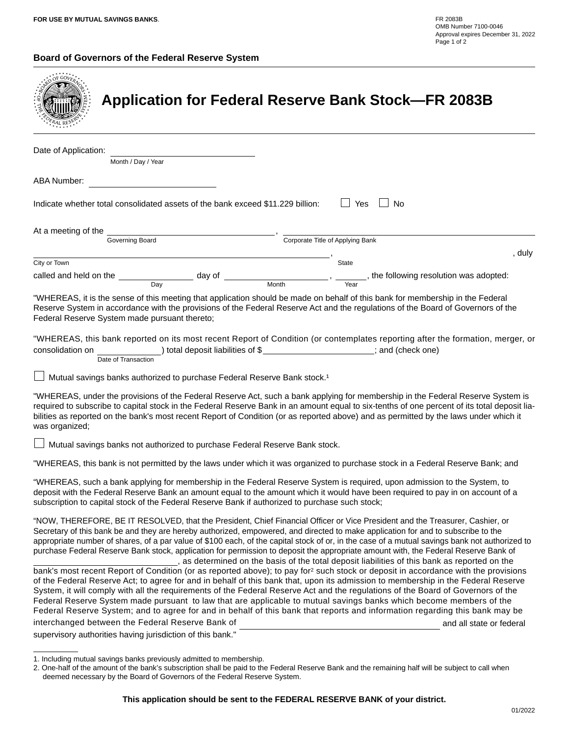### **Board of Governors of the Federal Reserve System**

|                                                                                                 |                                                                                      | <b>Application for Federal Reserve Bank Stock-FR 2083B</b>                                                                                                                                                                                                                                                                                                                                                                                                                                                                                                                                                                                                                    |                          |
|-------------------------------------------------------------------------------------------------|--------------------------------------------------------------------------------------|-------------------------------------------------------------------------------------------------------------------------------------------------------------------------------------------------------------------------------------------------------------------------------------------------------------------------------------------------------------------------------------------------------------------------------------------------------------------------------------------------------------------------------------------------------------------------------------------------------------------------------------------------------------------------------|--------------------------|
| Date of Application:                                                                            |                                                                                      |                                                                                                                                                                                                                                                                                                                                                                                                                                                                                                                                                                                                                                                                               |                          |
| Month / Day / Year<br>ABA Number:                                                               | <u> 1990 - Johann Barbara, martin a</u>                                              |                                                                                                                                                                                                                                                                                                                                                                                                                                                                                                                                                                                                                                                                               |                          |
| Indicate whether total consolidated assets of the bank exceed \$11.229 billion:                 |                                                                                      | Yes<br><b>No</b>                                                                                                                                                                                                                                                                                                                                                                                                                                                                                                                                                                                                                                                              |                          |
| At a meeting of the                                                                             | Governing Board                                                                      | Corporate Title of Applying Bank                                                                                                                                                                                                                                                                                                                                                                                                                                                                                                                                                                                                                                              |                          |
| City or Town                                                                                    |                                                                                      |                                                                                                                                                                                                                                                                                                                                                                                                                                                                                                                                                                                                                                                                               | $\Box$ , duly            |
|                                                                                                 |                                                                                      | State                                                                                                                                                                                                                                                                                                                                                                                                                                                                                                                                                                                                                                                                         |                          |
|                                                                                                 |                                                                                      | called and held on the $\frac{1}{\text{Day}}$ day of $\frac{1}{\text{Month}}$ , $\frac{1}{\text{Year}}$ , the following resolution was adopted:                                                                                                                                                                                                                                                                                                                                                                                                                                                                                                                               |                          |
| Federal Reserve System made pursuant thereto;                                                   |                                                                                      | "WHEREAS, it is the sense of this meeting that application should be made on behalf of this bank for membership in the Federal<br>Reserve System in accordance with the provisions of the Federal Reserve Act and the regulations of the Board of Governors of the                                                                                                                                                                                                                                                                                                                                                                                                            |                          |
| consolidation on<br>and (check one) (botal deposit liabilities of \$<br>Date of Transaction     |                                                                                      | "WHEREAS, this bank reported on its most recent Report of Condition (or contemplates reporting after the formation, merger, or                                                                                                                                                                                                                                                                                                                                                                                                                                                                                                                                                |                          |
|                                                                                                 | Mutual savings banks authorized to purchase Federal Reserve Bank stock. <sup>1</sup> |                                                                                                                                                                                                                                                                                                                                                                                                                                                                                                                                                                                                                                                                               |                          |
| was organized;                                                                                  |                                                                                      | "WHEREAS, under the provisions of the Federal Reserve Act, such a bank applying for membership in the Federal Reserve System is<br>required to subscribe to capital stock in the Federal Reserve Bank in an amount equal to six-tenths of one percent of its total deposit lia-<br>bilities as reported on the bank's most recent Report of Condition (or as reported above) and as permitted by the laws under which it                                                                                                                                                                                                                                                      |                          |
|                                                                                                 | Mutual savings banks not authorized to purchase Federal Reserve Bank stock.          |                                                                                                                                                                                                                                                                                                                                                                                                                                                                                                                                                                                                                                                                               |                          |
|                                                                                                 |                                                                                      | "WHEREAS, this bank is not permitted by the laws under which it was organized to purchase stock in a Federal Reserve Bank; and                                                                                                                                                                                                                                                                                                                                                                                                                                                                                                                                                |                          |
| subscription to capital stock of the Federal Reserve Bank if authorized to purchase such stock; |                                                                                      | "WHEREAS, such a bank applying for membership in the Federal Reserve System is required, upon admission to the System, to<br>deposit with the Federal Reserve Bank an amount equal to the amount which it would have been required to pay in on account of a                                                                                                                                                                                                                                                                                                                                                                                                                  |                          |
|                                                                                                 |                                                                                      | "NOW, THEREFORE, BE IT RESOLVED, that the President, Chief Financial Officer or Vice President and the Treasurer, Cashier, or<br>Secretary of this bank be and they are hereby authorized, empowered, and directed to make application for and to subscribe to the<br>appropriate number of shares, of a par value of \$100 each, of the capital stock of or, in the case of a mutual savings bank not authorized to<br>purchase Federal Reserve Bank stock, application for permission to deposit the appropriate amount with, the Federal Reserve Bank of<br>_, as determined on the basis of the total deposit liabilities of this bank as reported on the                 |                          |
|                                                                                                 |                                                                                      | bank's most recent Report of Condition (or as reported above); to pay for <sup>2</sup> such stock or deposit in accordance with the provisions<br>of the Federal Reserve Act; to agree for and in behalf of this bank that, upon its admission to membership in the Federal Reserve<br>System, it will comply with all the requirements of the Federal Reserve Act and the regulations of the Board of Governors of the<br>Federal Reserve System made pursuant to law that are applicable to mutual savings banks which become members of the<br>Federal Reserve System; and to agree for and in behalf of this bank that reports and information regarding this bank may be |                          |
| interchanged between the Federal Reserve Bank of                                                |                                                                                      |                                                                                                                                                                                                                                                                                                                                                                                                                                                                                                                                                                                                                                                                               | and all state or federal |
| supervisory authorities having jurisdiction of this bank."                                      |                                                                                      |                                                                                                                                                                                                                                                                                                                                                                                                                                                                                                                                                                                                                                                                               |                          |

<sup>1.</sup> Including mutual savings banks previously admitted to membership.

<sup>2.</sup> One-half of the amount of the bank's subscription shall be paid to the Federal Reserve Bank and the remaining half will be subject to call when deemed necessary by the Board of Governors of the Federal Reserve System.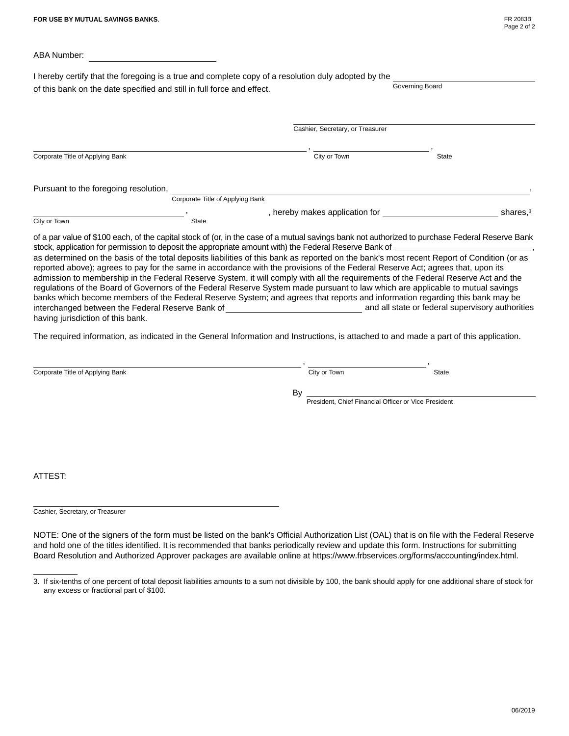| FR 2083B    |  |  |
|-------------|--|--|
| Page 2 of 2 |  |  |

|                                       | of this bank on the date specified and still in full force and effect. | I hereby certify that the foregoing is a true and complete copy of a resolution duly adopted by the | Governing Board |                      |
|---------------------------------------|------------------------------------------------------------------------|-----------------------------------------------------------------------------------------------------|-----------------|----------------------|
|                                       |                                                                        | Cashier, Secretary, or Treasurer                                                                    |                 |                      |
| Corporate Title of Applying Bank      |                                                                        | City or Town                                                                                        | <b>State</b>    | $\blacktriangledown$ |
| Pursuant to the foregoing resolution, |                                                                        |                                                                                                     |                 |                      |
| City or Town                          | Corporate Title of Applying Bank<br>State                              | $\blacksquare$ , hereby makes application for                                                       |                 | shares, $3$          |

, as determined on the basis of the total deposits liabilities of this bank as reported on the bank's most recent Report of Condition (or as reported above); agrees to pay for the same in accordance with the provisions of the Federal Reserve Act; agrees that, upon its admission to membership in the Federal Reserve System, it will comply with all the requirements of the Federal Reserve Act and the regulations of the Board of Governors of the Federal Reserve System made pursuant to law which are applicable to mutual savings banks which become members of the Federal Reserve System; and agrees that reports and information regarding this bank may be interchanged between the Federal Reserve Bank of and all state or federal supervisory authorities having jurisdiction of this bank.

The required information, as indicated in the General Information and Instructions, is attached to and made a part of this application.

| Corporate Title of Applying Bank | City or Town                                               | State | $\overline{\mathbf{v}}$ |
|----------------------------------|------------------------------------------------------------|-------|-------------------------|
|                                  | By<br>President, Chief Financial Officer or Vice President |       |                         |
|                                  |                                                            |       |                         |
|                                  |                                                            |       |                         |
| ATTEST:                          |                                                            |       |                         |

Cashier, Secretary, or Treasurer

NOTE: One of the signers of the form must be listed on the bank's Official Authorization List (OAL) that is on file with the Federal Reserve and hold one of the titles identified. It is recommended that banks periodically review and update this form. Instructions for submitting Board Resolution and Authorized Approver packages are available online at https://www.frbservices.org/forms/accounting/index.html.

<sup>3.</sup> If six-tenths of one percent of total deposit liabilities amounts to a sum not divisible by 100, the bank should apply for one additional share of stock for any excess or fractional part of \$100.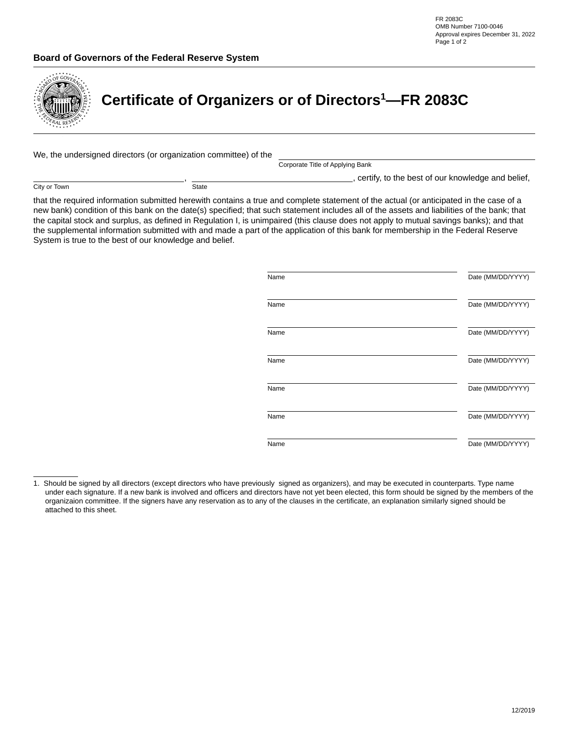### **Board of Governors of the Federal Reserve System**



# **Certificate of Organizers or of Directors1 —FR 2083C**

We, the undersigned directors (or organization committee) of the

Corporate Title of Applying Bank

 $\Box$ , certify, to the best of our knowledge and belief,

City or Town

**State** 

,

that the required information submitted herewith contains a true and complete statement of the actual (or anticipated in the case of a new bank) condition of this bank on the date(s) specified; that such statement includes all of the assets and liabilities of the bank; that the capital stock and surplus, as defined in Regulation I, is unimpaired (this clause does not apply to mutual savings banks); and that the supplemental information submitted with and made a part of the application of this bank for membership in the Federal Reserve System is true to the best of our knowledge and belief.

| Name | Date (MM/DD/YYYY) |
|------|-------------------|
| Name | Date (MM/DD/YYYY) |
| Name | Date (MM/DD/YYYY) |
| Name | Date (MM/DD/YYYY) |
| Name | Date (MM/DD/YYYY) |
| Name | Date (MM/DD/YYYY) |
| Name | Date (MM/DD/YYYY) |

<sup>1.</sup> Should be signed by all directors (except directors who have previously signed as organizers), and may be executed in counterparts. Type name under each signature. If a new bank is involved and officers and directors have not yet been elected, this form should be signed by the members of the organizaion committee. If the signers have any reservation as to any of the clauses in the certificate, an explanation similarly signed should be attached to this sheet.